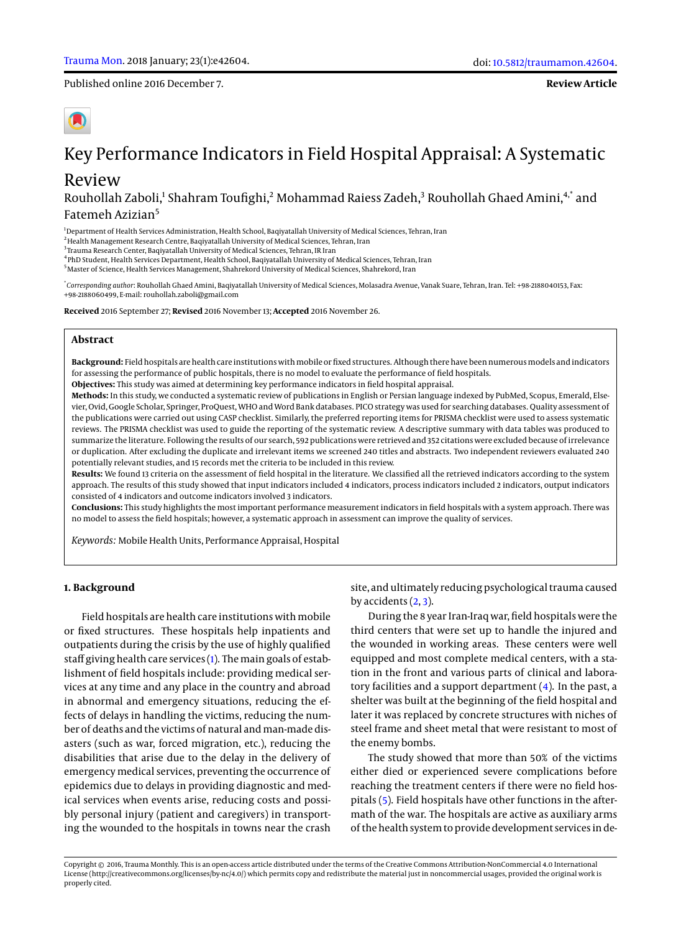Published online 2016 December 7.

# Key Performance Indicators in Field Hospital Appraisal: A Systematic

# Review

Rouhollah Zaboli,<sup>1</sup> Shahram Toufighi,<sup>2</sup> Mohammad Raiess Zadeh,<sup>3</sup> Rouhollah Ghaed Amini,<sup>4,\*</sup> and Fatemeh Azizian<sup>5</sup>

<sup>1</sup>Department of Health Services Administration, Health School, Baqiyatallah University of Medical Sciences, Tehran, Iran

<sup>2</sup> Health Management Research Centre, Baqiyatallah University of Medical Sciences, Tehran, Iran

<sup>3</sup>Trauma Research Center, Baqiyatallah University of Medical Sciences, Tehran, IR Iran

4 PhD Student, Health Services Department, Health School, Baqiyatallah University of Medical Sciences, Tehran, Iran

<sup>5</sup>Master of Science, Health Services Management, Shahrekord University of Medical Sciences, Shahrekord, Iran

\* *Corresponding author*: Rouhollah Ghaed Amini, Baqiyatallah University of Medical Sciences, Molasadra Avenue, Vanak Suare, Tehran, Iran. Tel: +98-2188040153, Fax: +98-2188060499, E-mail: rouhollah.zaboli@gmail.com

**Received** 2016 September 27; **Revised** 2016 November 13; **Accepted** 2016 November 26.

# **Abstract**

**Background:** Field hospitals are health care institutions with mobile or fixed structures. Although there have been numerous models and indicators for assessing the performance of public hospitals, there is no model to evaluate the performance of field hospitals.

**Objectives:** This study was aimed at determining key performance indicators in field hospital appraisal.

**Methods:** In this study, we conducted a systematic review of publications in English or Persian language indexed by PubMed, Scopus, Emerald, Elsevier, Ovid, Google Scholar, Springer, ProQuest, WHO and Word Bank databases. PICO strategy was used for searching databases. Quality assessment of the publications were carried out using CASP checklist. Similarly, the preferred reporting items for PRISMA checklist were used to assess systematic reviews. The PRISMA checklist was used to guide the reporting of the systematic review. A descriptive summary with data tables was produced to summarize the literature. Following the results of our search, 592 publications were retrieved and 352 citations were excluded because of irrelevance or duplication. After excluding the duplicate and irrelevant items we screened 240 titles and abstracts. Two independent reviewers evaluated 240 potentially relevant studies, and 15 records met the criteria to be included in this review.

**Results:** We found 13 criteria on the assessment of field hospital in the literature. We classified all the retrieved indicators according to the system approach. The results of this study showed that input indicators included 4 indicators, process indicators included 2 indicators, output indicators consisted of 4 indicators and outcome indicators involved 3 indicators.

**Conclusions:** This study highlights the most important performance measurement indicators in field hospitals with a system approach. There was no model to assess the field hospitals; however, a systematic approach in assessment can improve the quality of services.

*Keywords:* Mobile Health Units, Performance Appraisal, Hospital

# **1. Background**

Field hospitals are health care institutions with mobile or fixed structures. These hospitals help inpatients and outpatients during the crisis by the use of highly qualified staff giving health care services [\(1\)](#page-4-0). The main goals of establishment of field hospitals include: providing medical services at any time and any place in the country and abroad in abnormal and emergency situations, reducing the effects of delays in handling the victims, reducing the number of deaths and the victims of natural and man-made disasters (such as war, forced migration, etc.), reducing the disabilities that arise due to the delay in the delivery of emergency medical services, preventing the occurrence of epidemics due to delays in providing diagnostic and medical services when events arise, reducing costs and possibly personal injury (patient and caregivers) in transporting the wounded to the hospitals in towns near the crash

site, and ultimately reducing psychological trauma caused by accidents  $(2, 3)$  $(2, 3)$  $(2, 3)$ .

During the 8 year Iran-Iraq war, field hospitals were the third centers that were set up to handle the injured and the wounded in working areas. These centers were well equipped and most complete medical centers, with a station in the front and various parts of clinical and laboratory facilities and a support department [\(4\)](#page-4-3). In the past, a shelter was built at the beginning of the field hospital and later it was replaced by concrete structures with niches of steel frame and sheet metal that were resistant to most of the enemy bombs.

The study showed that more than 50% of the victims either died or experienced severe complications before reaching the treatment centers if there were no field hospitals [\(5\)](#page-4-4). Field hospitals have other functions in the aftermath of the war. The hospitals are active as auxiliary arms of the health system to provide development services in de-

Copyright © 2016, Trauma Monthly. This is an open-access article distributed under the terms of the Creative Commons Attribution-NonCommercial 4.0 International License (http://creativecommons.org/licenses/by-nc/4.0/) which permits copy and redistribute the material just in noncommercial usages, provided the original work is properly cited.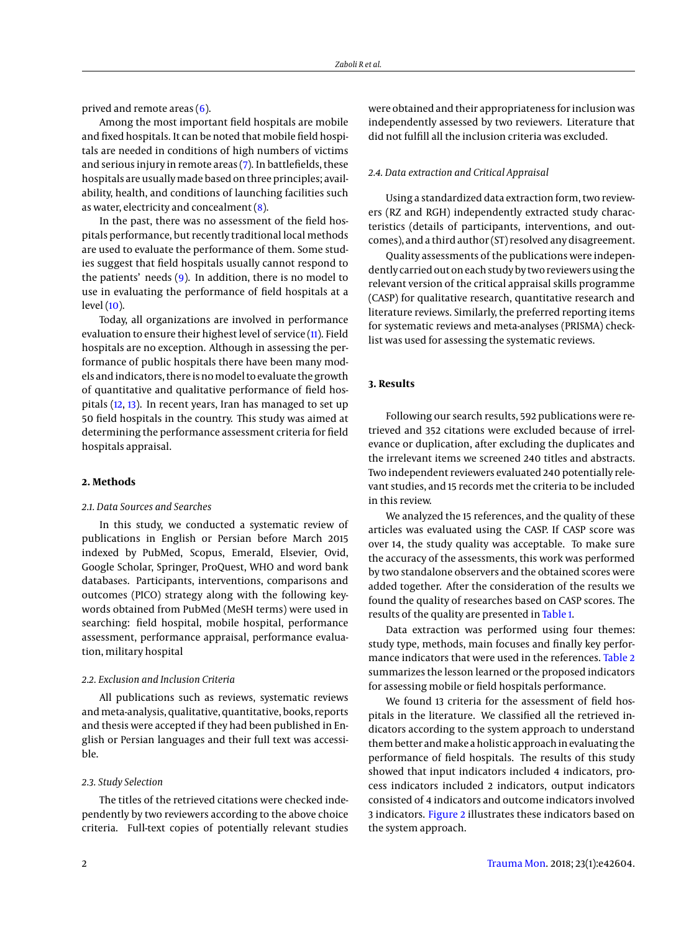prived and remote areas [\(6\)](#page-4-5).

Among the most important field hospitals are mobile and fixed hospitals. It can be noted that mobile field hospitals are needed in conditions of high numbers of victims and serious injury in remote areas [\(7\)](#page-4-6). In battlefields, these hospitals are usually made based on three principles; availability, health, and conditions of launching facilities such as water, electricity and concealment [\(8\)](#page-4-7).

In the past, there was no assessment of the field hospitals performance, but recently traditional local methods are used to evaluate the performance of them. Some studies suggest that field hospitals usually cannot respond to the patients' needs [\(9\)](#page-4-8). In addition, there is no model to use in evaluating the performance of field hospitals at a level [\(10\)](#page-4-9).

Today, all organizations are involved in performance evaluation to ensure their highest level of service [\(11\)](#page-4-10). Field hospitals are no exception. Although in assessing the performance of public hospitals there have been many models and indicators, there is no model to evaluate the growth of quantitative and qualitative performance of field hospitals [\(12,](#page-4-11) [13\)](#page-4-12). In recent years, Iran has managed to set up 50 field hospitals in the country. This study was aimed at determining the performance assessment criteria for field hospitals appraisal.

# **2. Methods**

# *2.1. Data Sources and Searches*

In this study, we conducted a systematic review of publications in English or Persian before March 2015 indexed by PubMed, Scopus, Emerald, Elsevier, Ovid, Google Scholar, Springer, ProQuest, WHO and word bank databases. Participants, interventions, comparisons and outcomes (PICO) strategy along with the following keywords obtained from PubMed (MeSH terms) were used in searching: field hospital, mobile hospital, performance assessment, performance appraisal, performance evaluation, military hospital

# *2.2. Exclusion and Inclusion Criteria*

All publications such as reviews, systematic reviews and meta-analysis, qualitative, quantitative, books, reports and thesis were accepted if they had been published in English or Persian languages and their full text was accessible.

# *2.3. Study Selection*

The titles of the retrieved citations were checked independently by two reviewers according to the above choice criteria. Full-text copies of potentially relevant studies

were obtained and their appropriateness for inclusion was independently assessed by two reviewers. Literature that did not fulfill all the inclusion criteria was excluded.

#### *2.4. Data extraction and Critical Appraisal*

Using a standardized data extraction form, two reviewers (RZ and RGH) independently extracted study characteristics (details of participants, interventions, and outcomes), and a third author (ST) resolved any disagreement.

Quality assessments of the publications were independently carried out on each study by two reviewers using the relevant version of the critical appraisal skills programme (CASP) for qualitative research, quantitative research and literature reviews. Similarly, the preferred reporting items for systematic reviews and meta-analyses (PRISMA) checklist was used for assessing the systematic reviews.

# **3. Results**

Following our search results, 592 publications were retrieved and 352 citations were excluded because of irrelevance or duplication, after excluding the duplicates and the irrelevant items we screened 240 titles and abstracts. Two independent reviewers evaluated 240 potentially relevant studies, and 15 records met the criteria to be included in this review.

We analyzed the 15 references, and the quality of these articles was evaluated using the CASP. If CASP score was over 14, the study quality was acceptable. To make sure the accuracy of the assessments, this work was performed by two standalone observers and the obtained scores were added together. After the consideration of the results we found the quality of researches based on CASP scores. The results of the quality are presented in [Table 1.](#page-2-0)

Data extraction was performed using four themes: study type, methods, main focuses and finally key performance indicators that were used in the references. [Table 2](#page-6-0) summarizes the lesson learned or the proposed indicators for assessing mobile or field hospitals performance.

We found 13 criteria for the assessment of field hospitals in the literature. We classified all the retrieved indicators according to the system approach to understand them better and make a holistic approach in evaluating the performance of field hospitals. The results of this study showed that input indicators included 4 indicators, process indicators included 2 indicators, output indicators consisted of 4 indicators and outcome indicators involved 3 indicators. [Figure 2](#page-3-0) illustrates these indicators based on the system approach.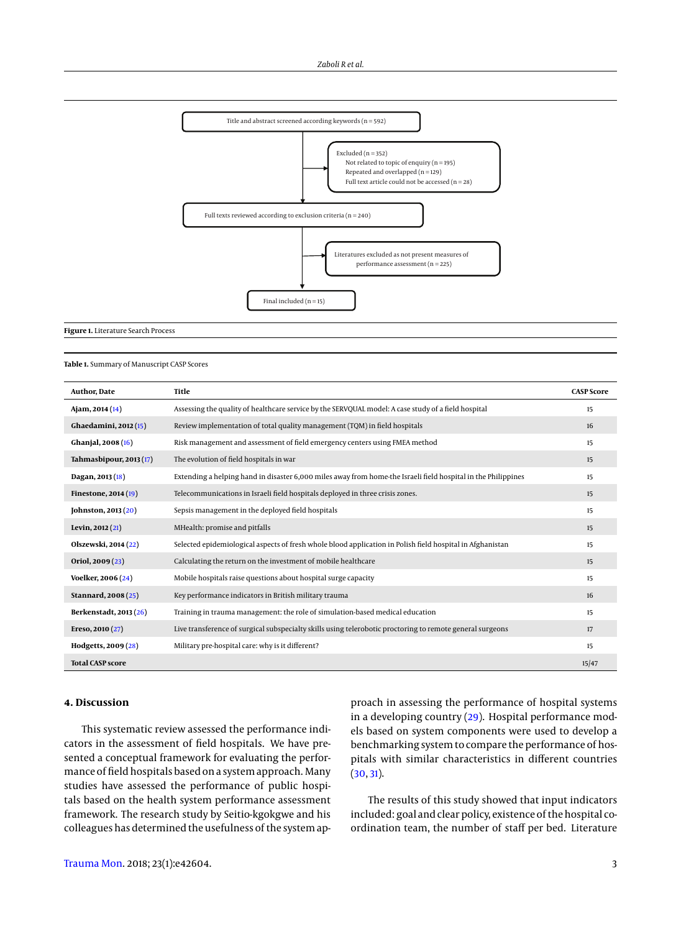

#### <span id="page-2-0"></span>**Table 1.** Summary of Manuscript CASP Scores

| Author, Date            | Title                                                                                                         | <b>CASP Score</b> |
|-------------------------|---------------------------------------------------------------------------------------------------------------|-------------------|
| Ajam, 2014 (14)         | Assessing the quality of healthcare service by the SERVQUAL model: A case study of a field hospital           | 15                |
| Ghaedamini, 2012 (15)   | Review implementation of total quality management (TQM) in field hospitals                                    | 16                |
| Ghanjal, 2008 (16)      | Risk management and assessment of field emergency centers using FMEA method                                   | 15                |
| Tahmasbipour, 2013 (17) | The evolution of field hospitals in war                                                                       | 15                |
| Dagan, 2013 (18)        | Extending a helping hand in disaster 6,000 miles away from home-the Israeli field hospital in the Philippines | 15                |
| Finestone, 2014 (19)    | Telecommunications in Israeli field hospitals deployed in three crisis zones.                                 | 15                |
| [ohnston, 2013 $(20)$ ] | Sepsis management in the deployed field hospitals                                                             | 15                |
| Levin, 2012 (21)        | MHealth: promise and pitfalls                                                                                 | 15                |
| Olszewski, 2014 (22)    | Selected epidemiological aspects of fresh whole blood application in Polish field hospital in Afghanistan     | 15                |
| Oriol, 2009 (23)        | Calculating the return on the investment of mobile healthcare                                                 | 15                |
| Voelker, 2006 (24)      | Mobile hospitals raise questions about hospital surge capacity                                                | 15                |
| Stannard, 2008 (25)     | Key performance indicators in British military trauma                                                         | 16                |
| Berkenstadt, 2013 (26)  | Training in trauma management: the role of simulation-based medical education                                 | 15                |
| Ereso, 2010 (27)        | Live transference of surgical subspecialty skills using telerobotic proctoring to remote general surgeons     | 17                |
| Hodgetts, 2009 (28)     | Military pre-hospital care: why is it different?                                                              | 15                |
| <b>Total CASP score</b> |                                                                                                               | 15/47             |

### **4. Discussion**

This systematic review assessed the performance indicators in the assessment of field hospitals. We have presented a conceptual framework for evaluating the performance of field hospitals based on a system approach. Many studies have assessed the performance of public hospitals based on the health system performance assessment framework. The research study by Seitio-kgokgwe and his colleagues has determined the usefulness of the system approach in assessing the performance of hospital systems in a developing country [\(29\)](#page-5-6). Hospital performance models based on system components were used to develop a benchmarking system to compare the performance of hospitals with similar characteristics in different countries [\(30,](#page-5-7) [31\)](#page-5-8).

The results of this study showed that input indicators included: goal and clear policy, existence of the hospital coordination team, the number of staff per bed. Literature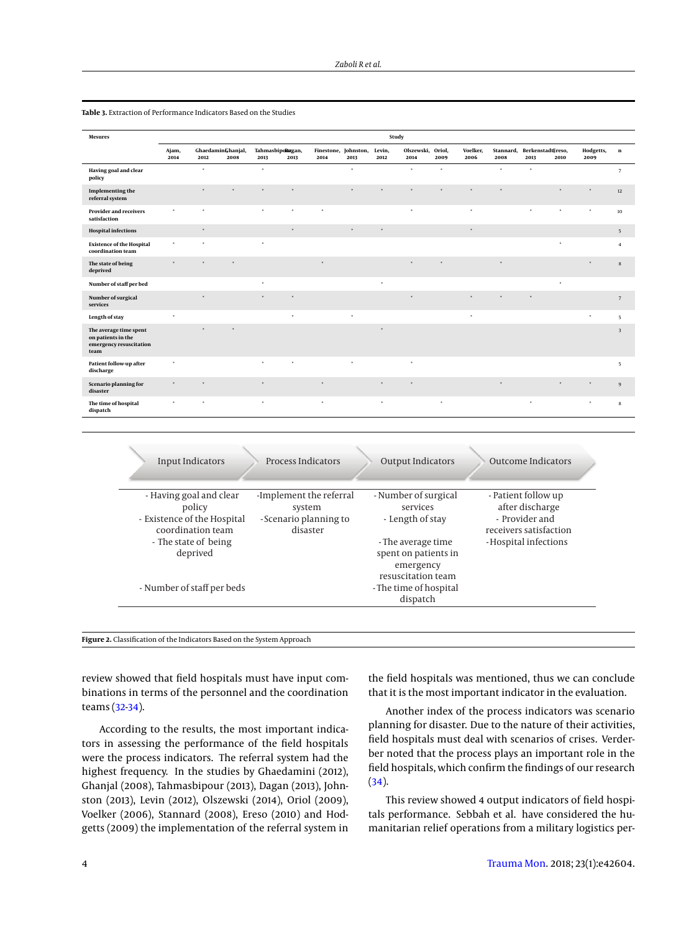| <b>Mesures</b>                                                                  | Study         |              |                           |                          |         |         |                              |                |                           |        |                  |                   |                           |         |                   |                          |
|---------------------------------------------------------------------------------|---------------|--------------|---------------------------|--------------------------|---------|---------|------------------------------|----------------|---------------------------|--------|------------------|-------------------|---------------------------|---------|-------------------|--------------------------|
|                                                                                 | Ajam,<br>2014 | 2012         | GhaedaminGhanjal,<br>2008 | Tahmasbipolugan,<br>2013 | 2013    | 2014    | Finestone, Johnston,<br>2013 | Levin,<br>2012 | Olszewski, Oriol,<br>2014 | 2009   | Voelker,<br>2006 | Stannard,<br>2008 | BerkenstadtEreso,<br>2013 | 2010    | Hodgetts,<br>2009 | $\bf n$                  |
| Having goal and clear<br>policy                                                 |               | $\ast$       |                           | $^\ast$                  |         |         | $\ast$                       |                | $^\star$                  | $\ast$ |                  | $\ast$            | $\ast$                    |         |                   | $7\phantom{.0}$          |
| Implementing the<br>referral system                                             |               | $\star$      | $\star$                   | $\star$                  | $\star$ |         | $\star$                      | $\star$        | $\star$                   | ×      | $\star$          | $\star$           |                           | $\star$ | $\star$           | $12\,$                   |
| <b>Provider and receivers</b><br>satisfaction                                   | $\ast$        | $\ast$       |                           | $\ast$                   | $\ast$  | $\ast$  |                              |                | $\ast$                    |        | $\ast$           |                   | $\mathbf{x}$              | $\star$ | $\star$           | 10                       |
| <b>Hospital infections</b>                                                      |               | $\ast$       |                           |                          | $\star$ |         | $\pmb{\ast}$                 | $\ast$         |                           |        | $\ast$           |                   |                           |         |                   | 5                        |
| <b>Existence of the Hospital</b><br>coordination team                           | $\ast$        | ×            |                           | $\ast$                   |         |         |                              |                |                           |        |                  |                   |                           | $\star$ |                   | $\overline{4}$           |
| The state of being<br>deprived                                                  | $\star$       |              |                           |                          |         | $\star$ |                              |                |                           |        |                  |                   |                           |         |                   | 8                        |
| Number of staff per bed                                                         |               |              |                           | $\star$                  |         |         |                              | $\star$        |                           |        |                  |                   |                           | $\star$ |                   |                          |
| Number of surgical<br>services                                                  |               | ×            |                           | $\star$                  | $\star$ |         |                              |                | $\lambda$                 |        | $\star$          |                   |                           |         |                   | 7                        |
| Length of stay                                                                  | $\star$       |              |                           |                          | $\star$ |         | $\ast$                       |                |                           |        | $\ast$           |                   |                           |         | $\ast$            | $\overline{\phantom{a}}$ |
| The average time spent<br>on patients in the<br>emergency resuscitation<br>team |               |              |                           |                          |         |         |                              | $\star$        |                           |        |                  |                   |                           |         |                   | $\overline{\mathbf{3}}$  |
| Patient follow-up after<br>discharge                                            | $\pmb{\ast}$  |              |                           | $\star$                  | $\star$ |         | $\ast$                       |                | $\ast$                    |        |                  |                   |                           |         |                   | 5                        |
| Scenario planning for<br>disaster                                               | $\ast$        | ×            |                           | $\star$                  |         | $\star$ |                              | $\star$        | $\star$                   |        |                  | $\ast$            |                           | $\star$ | $\pmb{\ast}$      | $\mathbf{q}$             |
| The time of hospital<br>dispatch                                                | $\ast$        | $\mathbf{x}$ |                           | $\ast$                   |         | $\ast$  |                              | $\ast$         |                           | $\ast$ |                  |                   | $\boldsymbol{\ast}$       |         | $\pmb{\ast}$      | $\mathbf{s}$             |

**Table 3.** Extraction of Performance Indicators Based on the Studies

<span id="page-3-0"></span>

| <b>Input Indicators</b>                                                                                                   | <b>Process Indicators</b>                                               | <b>Output Indicators</b>                                                                                        | <b>Outcome Indicators</b>                                                                                  |
|---------------------------------------------------------------------------------------------------------------------------|-------------------------------------------------------------------------|-----------------------------------------------------------------------------------------------------------------|------------------------------------------------------------------------------------------------------------|
| - Having goal and clear<br>policy<br>- Existence of the Hospital<br>coordination team<br>- The state of being<br>deprived | -Implement the referral<br>system<br>- Scenario planning to<br>disaster | - Number of surgical<br>services<br>- Length of stay<br>- The average time<br>spent on patients in<br>emergency | - Patient follow up<br>after discharge<br>- Provider and<br>receivers satisfaction<br>-Hospital infections |
| - Number of staff per beds                                                                                                |                                                                         | resuscitation team<br>- The time of hospital<br>dispatch                                                        |                                                                                                            |

**Figure 2.** Classification of the Indicators Based on the System Approach

review showed that field hospitals must have input combinations in terms of the personnel and the coordination teams [\(32](#page-5-9)[-34\)](#page-5-10).

According to the results, the most important indicators in assessing the performance of the field hospitals were the process indicators. The referral system had the highest frequency. In the studies by Ghaedamini (2012), Ghanjal (2008), Tahmasbipour (2013), Dagan (2013), Johnston (2013), Levin (2012), Olszewski (2014), Oriol (2009), Voelker (2006), Stannard (2008), Ereso (2010) and Hodgetts (2009) the implementation of the referral system in the field hospitals was mentioned, thus we can conclude that it is the most important indicator in the evaluation.

Another index of the process indicators was scenario planning for disaster. Due to the nature of their activities, field hospitals must deal with scenarios of crises. Verderber noted that the process plays an important role in the field hospitals, which confirm the findings of our research [\(34\)](#page-5-10).

This review showed 4 output indicators of field hospitals performance. Sebbah et al. have considered the humanitarian relief operations from a military logistics per-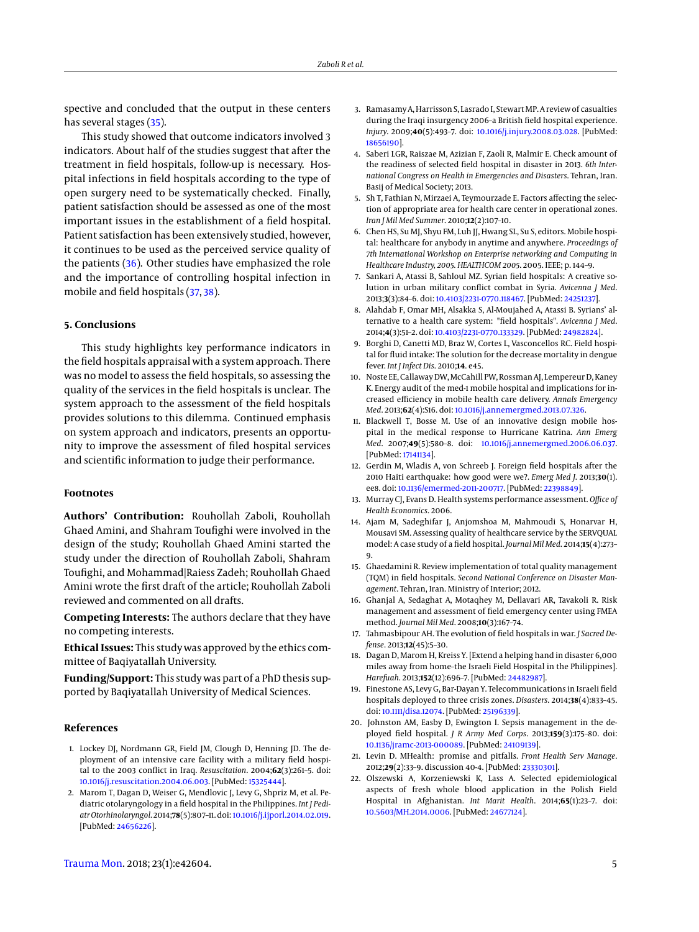spective and concluded that the output in these centers has several stages [\(35\)](#page-5-11).

This study showed that outcome indicators involved 3 indicators. About half of the studies suggest that after the treatment in field hospitals, follow-up is necessary. Hospital infections in field hospitals according to the type of open surgery need to be systematically checked. Finally, patient satisfaction should be assessed as one of the most important issues in the establishment of a field hospital. Patient satisfaction has been extensively studied, however, it continues to be used as the perceived service quality of the patients [\(36\)](#page-5-12). Other studies have emphasized the role and the importance of controlling hospital infection in mobile and field hospitals [\(37,](#page-5-13) [38\)](#page-5-14).

#### **5. Conclusions**

This study highlights key performance indicators in the field hospitals appraisal with a system approach. There was no model to assess the field hospitals, so assessing the quality of the services in the field hospitals is unclear. The system approach to the assessment of the field hospitals provides solutions to this dilemma. Continued emphasis on system approach and indicators, presents an opportunity to improve the assessment of filed hospital services and scientific information to judge their performance.

# **Footnotes**

**Authors' Contribution:** Rouhollah Zaboli, Rouhollah Ghaed Amini, and Shahram Toufighi were involved in the design of the study; Rouhollah Ghaed Amini started the study under the direction of Rouhollah Zaboli, Shahram Toufighi, and Mohammad|Raiess Zadeh; Rouhollah Ghaed Amini wrote the first draft of the article; Rouhollah Zaboli reviewed and commented on all drafts.

**Competing Interests:** The authors declare that they have no competing interests.

**Ethical Issues:** This study was approved by the ethics committee of Baqiyatallah University.

**Funding/Support:** This study was part of a PhD thesis supported by Baqiyatallah University of Medical Sciences.

# **References**

- <span id="page-4-0"></span>1. Lockey DJ, Nordmann GR, Field JM, Clough D, Henning JD. The deployment of an intensive care facility with a military field hospital to the 2003 conflict in Iraq. *Resuscitation*. 2004;**62**(3):261–5. doi: [10.1016/j.resuscitation.2004.06.003.](http://dx.doi.org/10.1016/j.resuscitation.2004.06.003) [PubMed: [15325444\]](http://www.ncbi.nlm.nih.gov/pubmed/15325444).
- <span id="page-4-1"></span>2. Marom T, Dagan D, Weiser G, Mendlovic J, Levy G, Shpriz M, et al. Pediatric otolaryngology in a field hospital in the Philippines. *Int J Pediatr Otorhinolaryngol*. 2014;**78**(5):807–11. doi: [10.1016/j.ijporl.2014.02.019.](http://dx.doi.org/10.1016/j.ijporl.2014.02.019) [PubMed: [24656226\]](http://www.ncbi.nlm.nih.gov/pubmed/24656226).
- <span id="page-4-2"></span>3. Ramasamy A, Harrisson S, Lasrado I, Stewart MP. A review of casualties during the Iraqi insurgency 2006–a British field hospital experience. *Injury*. 2009;**40**(5):493–7. doi: [10.1016/j.injury.2008.03.028.](http://dx.doi.org/10.1016/j.injury.2008.03.028) [PubMed: [18656190\]](http://www.ncbi.nlm.nih.gov/pubmed/18656190).
- <span id="page-4-3"></span>4. Saberi LGR, Raiszae M, Azizian F, Zaoli R, Malmir E. Check amount of the readiness of selected field hospital in disaster in 2013. *6th International Congress on Health in Emergencies and Disasters*. Tehran, Iran. Basij of Medical Society; 2013.
- <span id="page-4-4"></span>5. Sh T, Fathian N, Mirzaei A, Teymourzade E. Factors affecting the selection of appropriate area for health care center in operational zones. *Iran J Mil Med Summer*. 2010;**12**(2):107–10.
- <span id="page-4-5"></span>6. Chen HS, Su MJ, Shyu FM, Luh JJ, Hwang SL, Su S, editors. Mobile hospital: healthcare for anybody in anytime and anywhere. *Proceedings of 7th International Workshop on Enterprise networking and Computing in Healthcare Industry, 2005. HEALTHCOM 2005*. 2005. IEEE; p. 144–9.
- <span id="page-4-6"></span>7. Sankari A, Atassi B, Sahloul MZ. Syrian field hospitals: A creative solution in urban military conflict combat in Syria. *Avicenna J Med*. 2013;**3**(3):84–6. doi: [10.4103/2231-0770.118467.](http://dx.doi.org/10.4103/2231-0770.118467) [PubMed: [24251237\]](http://www.ncbi.nlm.nih.gov/pubmed/24251237).
- <span id="page-4-7"></span>8. Alahdab F, Omar MH, Alsakka S, Al-Moujahed A, Atassi B. Syrians' alternative to a health care system: "field hospitals". *Avicenna J Med*. 2014;**4**(3):51–2. doi: [10.4103/2231-0770.133329.](http://dx.doi.org/10.4103/2231-0770.133329) [PubMed: [24982824\]](http://www.ncbi.nlm.nih.gov/pubmed/24982824).
- <span id="page-4-8"></span>9. Borghi D, Canetti MD, Braz W, Cortes L, Vasconcellos RC. Field hospital for fluid intake: The solution for the decrease mortality in dengue fever. *Int J Infect Dis*. 2010;**14**. e45.
- <span id="page-4-9"></span>10. Noste EE, Callaway DW, McCahill PW, Rossman AJ, Lempereur D, Kaney K. Energy audit of the med-1 mobile hospital and implications for increased efficiency in mobile health care delivery. *Annals Emergency Med*. 2013;**62**(4):S16. doi: [10.1016/j.annemergmed.2013.07.326.](http://dx.doi.org/10.1016/j.annemergmed.2013.07.326)
- <span id="page-4-10"></span>11. Blackwell T, Bosse M. Use of an innovative design mobile hospital in the medical response to Hurricane Katrina. *Ann Emerg Med*. 2007;**49**(5):580–8. doi: [10.1016/j.annemergmed.2006.06.037.](http://dx.doi.org/10.1016/j.annemergmed.2006.06.037) [PubMed: [17141134\]](http://www.ncbi.nlm.nih.gov/pubmed/17141134).
- <span id="page-4-11"></span>12. Gerdin M, Wladis A, von Schreeb J. Foreign field hospitals after the 2010 Haiti earthquake: how good were we?. *Emerg Med J*. 2013;**30**(1). ee8. doi: [10.1136/emermed-2011-200717.](http://dx.doi.org/10.1136/emermed-2011-200717) [PubMed: [22398849\]](http://www.ncbi.nlm.nih.gov/pubmed/22398849).
- <span id="page-4-12"></span>13. Murray CJ, Evans D. Health systems performance assessment. *Office of Health Economics*. 2006.
- <span id="page-4-13"></span>14. Ajam M, Sadeghifar J, Anjomshoa M, Mahmoudi S, Honarvar H, Mousavi SM. Assessing quality of healthcare service by the SERVQUAL model: A case study of a field hospital. *Journal Mil Med*. 2014;**15**(4):273– 9.
- <span id="page-4-14"></span>15. Ghaedamini R. Review implementation of total quality management (TQM) in field hospitals. *Second National Conference on Disaster Management*. Tehran, Iran. Ministry of Interior; 2012.
- <span id="page-4-15"></span>16. Ghanjal A, Sedaghat A, Motaqhey M, Dellavari AR, Tavakoli R. Risk management and assessment of field emergency center using FMEA method. *Journal Mil Med*. 2008;**10**(3):167–74.
- <span id="page-4-16"></span>17. Tahmasbipour AH. The evolution of field hospitals in war. *J Sacred Defense*. 2013;**12**(45):5–30.
- <span id="page-4-17"></span>18. Dagan D, Marom H, Kreiss Y. [Extend a helping hand in disaster 6,000 miles away from home–the Israeli Field Hospital in the Philippines]. *Harefuah*. 2013;**152**(12):696–7. [PubMed: [24482987\]](http://www.ncbi.nlm.nih.gov/pubmed/24482987).
- <span id="page-4-18"></span>19. Finestone AS, Levy G, Bar-Dayan Y. Telecommunications in Israeli field hospitals deployed to three crisis zones. *Disasters*. 2014;**38**(4):833–45. doi: [10.1111/disa.12074.](http://dx.doi.org/10.1111/disa.12074) [PubMed: [25196339\]](http://www.ncbi.nlm.nih.gov/pubmed/25196339).
- <span id="page-4-19"></span>20. Johnston AM, Easby D, Ewington I. Sepsis management in the deployed field hospital. *J R Army Med Corps*. 2013;**159**(3):175–80. doi: [10.1136/jramc-2013-000089.](http://dx.doi.org/10.1136/jramc-2013-000089) [PubMed: [24109139\]](http://www.ncbi.nlm.nih.gov/pubmed/24109139).
- <span id="page-4-20"></span>21. Levin D. MHealth: promise and pitfalls. *Front Health Serv Manage*. 2012;**29**(2):33–9. discussion 40-4. [PubMed: [23330301\]](http://www.ncbi.nlm.nih.gov/pubmed/23330301).
- <span id="page-4-21"></span>22. Olszewski A, Korzeniewski K, Lass A. Selected epidemiological aspects of fresh whole blood application in the Polish Field Hospital in Afghanistan. *Int Marit Health*. 2014;**65**(1):23–7. doi: [10.5603/MH.2014.0006.](http://dx.doi.org/10.5603/MH.2014.0006) [PubMed: [24677124\]](http://www.ncbi.nlm.nih.gov/pubmed/24677124).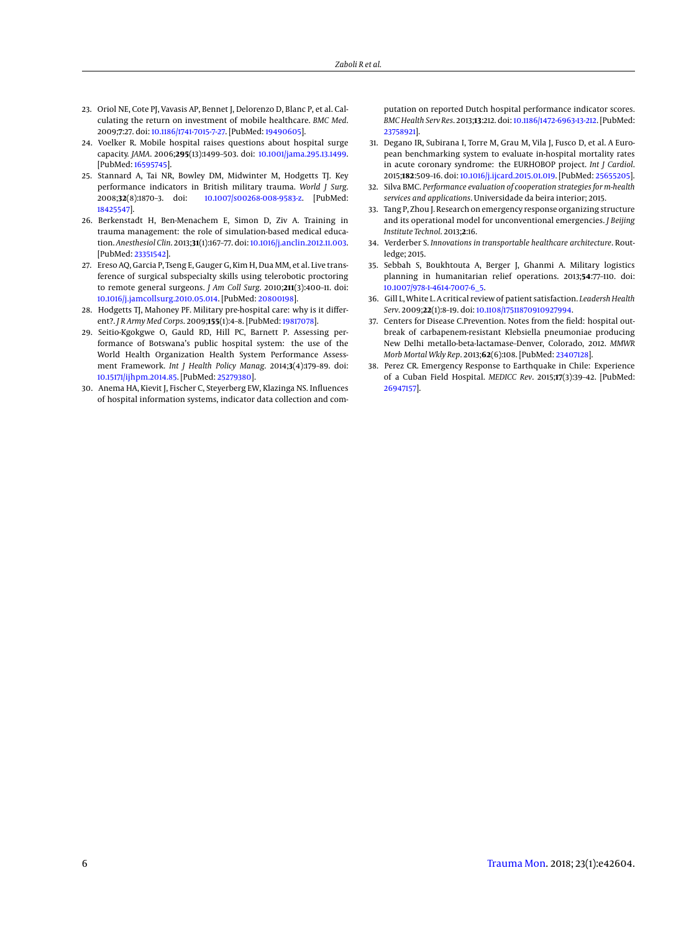- <span id="page-5-0"></span>23. Oriol NE, Cote PJ, Vavasis AP, Bennet J, Delorenzo D, Blanc P, et al. Calculating the return on investment of mobile healthcare. *BMC Med*. 2009;**7**:27. doi: [10.1186/1741-7015-7-27.](http://dx.doi.org/10.1186/1741-7015-7-27) [PubMed: [19490605\]](http://www.ncbi.nlm.nih.gov/pubmed/19490605).
- <span id="page-5-1"></span>24. Voelker R. Mobile hospital raises questions about hospital surge capacity. *JAMA*. 2006;**295**(13):1499–503. doi: [10.1001/jama.295.13.1499.](http://dx.doi.org/10.1001/jama.295.13.1499) [PubMed: [16595745\]](http://www.ncbi.nlm.nih.gov/pubmed/16595745).
- <span id="page-5-2"></span>25. Stannard A, Tai NR, Bowley DM, Midwinter M, Hodgetts TJ. Key performance indicators in British military trauma. *World J Surg*. 2008;**32**(8):1870–3. doi: [10.1007/s00268-008-9583-z.](http://dx.doi.org/10.1007/s00268-008-9583-z) [PubMed: [18425547\]](http://www.ncbi.nlm.nih.gov/pubmed/18425547).
- <span id="page-5-3"></span>26. Berkenstadt H, Ben-Menachem E, Simon D, Ziv A. Training in trauma management: the role of simulation-based medical education. *Anesthesiol Clin*. 2013;**31**(1):167–77. doi: [10.1016/j.anclin.2012.11.003.](http://dx.doi.org/10.1016/j.anclin.2012.11.003) [PubMed: [23351542\]](http://www.ncbi.nlm.nih.gov/pubmed/23351542).
- <span id="page-5-4"></span>27. Ereso AQ, Garcia P, Tseng E, Gauger G, Kim H, Dua MM, et al. Live transference of surgical subspecialty skills using telerobotic proctoring to remote general surgeons. *J Am Coll Surg*. 2010;**211**(3):400–11. doi: [10.1016/j.jamcollsurg.2010.05.014.](http://dx.doi.org/10.1016/j.jamcollsurg.2010.05.014) [PubMed: [20800198\]](http://www.ncbi.nlm.nih.gov/pubmed/20800198).
- <span id="page-5-5"></span>28. Hodgetts TJ, Mahoney PF. Military pre-hospital care: why is it different?. *J R Army Med Corps*. 2009;**155**(1):4–8. [PubMed: [19817078\]](http://www.ncbi.nlm.nih.gov/pubmed/19817078).
- <span id="page-5-6"></span>29. Seitio-Kgokgwe O, Gauld RD, Hill PC, Barnett P. Assessing performance of Botswana's public hospital system: the use of the World Health Organization Health System Performance Assessment Framework. *Int J Health Policy Manag*. 2014;**3**(4):179–89. doi: [10.15171/ijhpm.2014.85.](http://dx.doi.org/10.15171/ijhpm.2014.85) [PubMed: [25279380\]](http://www.ncbi.nlm.nih.gov/pubmed/25279380).
- <span id="page-5-7"></span>30. Anema HA, Kievit J, Fischer C, Steyerberg EW, Klazinga NS. Influences of hospital information systems, indicator data collection and com-

putation on reported Dutch hospital performance indicator scores. *BMC Health Serv Res*. 2013;**13**:212. doi: [10.1186/1472-6963-13-212.](http://dx.doi.org/10.1186/1472-6963-13-212) [PubMed: [23758921\]](http://www.ncbi.nlm.nih.gov/pubmed/23758921).

- <span id="page-5-8"></span>31. Degano IR, Subirana I, Torre M, Grau M, Vila J, Fusco D, et al. A European benchmarking system to evaluate in-hospital mortality rates in acute coronary syndrome: the EURHOBOP project. *Int J Cardiol*. 2015;**182**:509–16. doi: [10.1016/j.ijcard.2015.01.019.](http://dx.doi.org/10.1016/j.ijcard.2015.01.019) [PubMed: [25655205\]](http://www.ncbi.nlm.nih.gov/pubmed/25655205).
- <span id="page-5-9"></span>32. Silva BMC. *Performance evaluation of cooperation strategies for m-health services and applications*. Universidade da beira interior; 2015.
- 33. Tang P, Zhou J. Research on emergency response organizing structure and its operational model for unconventional emergencies. *J Beijing Institute Technol*. 2013;**2**:16.
- <span id="page-5-10"></span>34. Verderber S. *Innovations in transportable healthcare architecture*. Routledge; 2015.
- <span id="page-5-11"></span>35. Sebbah S, Boukhtouta A, Berger J, Ghanmi A. Military logistics planning in humanitarian relief operations. 2013;**54**:77–110. doi: [10.1007/978-1-4614-7007-6\\_5.](http://dx.doi.org/10.1007/978-1-4614-7007-6_5)
- <span id="page-5-12"></span>36. Gill L, White L. A critical review of patient satisfaction. *Leadersh Health Serv*. 2009;**22**(1):8–19. doi: [10.1108/17511870910927994.](http://dx.doi.org/10.1108/17511870910927994)
- <span id="page-5-13"></span>37. Centers for Disease C.Prevention. Notes from the field: hospital outbreak of carbapenem-resistant Klebsiella pneumoniae producing New Delhi metallo-beta-lactamase–Denver, Colorado, 2012. *MMWR Morb Mortal Wkly Rep*. 2013;**62**(6):108. [PubMed: [23407128\]](http://www.ncbi.nlm.nih.gov/pubmed/23407128).
- <span id="page-5-14"></span>38. Perez CR. Emergency Response to Earthquake in Chile: Experience of a Cuban Field Hospital. *MEDICC Rev*. 2015;**17**(3):39–42. [PubMed: [26947157\]](http://www.ncbi.nlm.nih.gov/pubmed/26947157).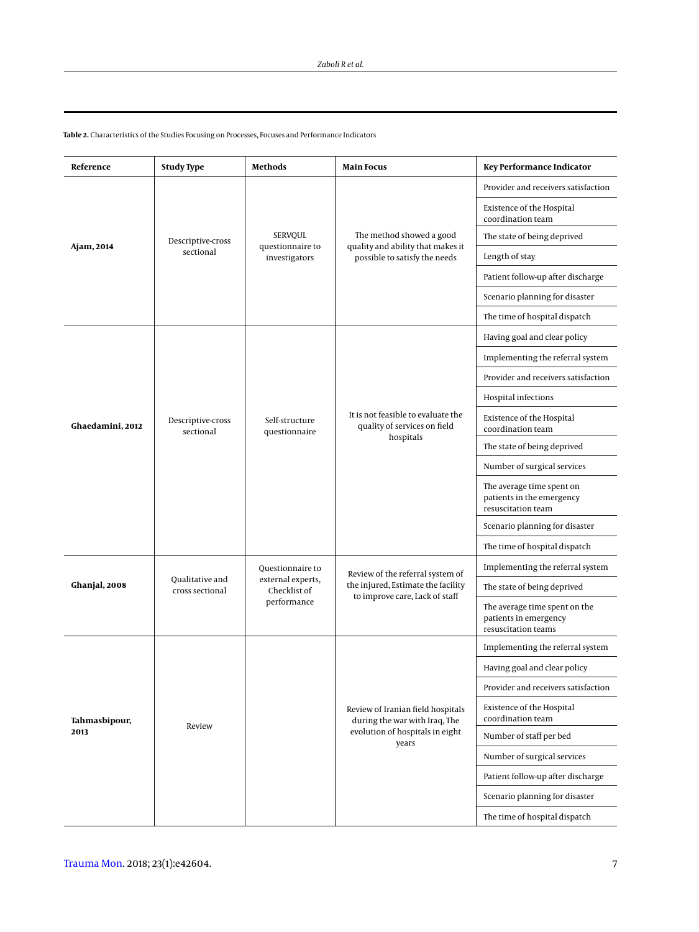| Reference             | <b>Study Type</b>                  | <b>Methods</b>                                                       | <b>Main Focus</b>                                                                                              | <b>Key Performance Indicator</b>                                              |  |  |
|-----------------------|------------------------------------|----------------------------------------------------------------------|----------------------------------------------------------------------------------------------------------------|-------------------------------------------------------------------------------|--|--|
|                       |                                    | <b>SERVOUL</b><br>questionnaire to<br>investigators                  |                                                                                                                | Provider and receivers satisfaction                                           |  |  |
|                       |                                    |                                                                      |                                                                                                                | Existence of the Hospital<br>coordination team                                |  |  |
|                       | Descriptive-cross                  |                                                                      | The method showed a good<br>quality and ability that makes it                                                  | The state of being deprived                                                   |  |  |
| Ajam, 2014            | sectional                          |                                                                      | possible to satisfy the needs                                                                                  | Length of stay                                                                |  |  |
|                       |                                    |                                                                      |                                                                                                                | Patient follow-up after discharge                                             |  |  |
|                       |                                    |                                                                      |                                                                                                                | Scenario planning for disaster                                                |  |  |
|                       |                                    |                                                                      |                                                                                                                | The time of hospital dispatch                                                 |  |  |
|                       |                                    | Self-structure<br>questionnaire                                      |                                                                                                                | Having goal and clear policy                                                  |  |  |
|                       |                                    |                                                                      |                                                                                                                | Implementing the referral system                                              |  |  |
|                       |                                    |                                                                      |                                                                                                                | Provider and receivers satisfaction                                           |  |  |
|                       |                                    |                                                                      | It is not feasible to evaluate the<br>quality of services on field<br>hospitals                                | Hospital infections                                                           |  |  |
| Ghaedamini, 2012      | Descriptive-cross<br>sectional     |                                                                      |                                                                                                                | Existence of the Hospital<br>coordination team                                |  |  |
|                       |                                    |                                                                      |                                                                                                                | The state of being deprived                                                   |  |  |
|                       |                                    |                                                                      |                                                                                                                | Number of surgical services                                                   |  |  |
|                       |                                    |                                                                      |                                                                                                                | The average time spent on<br>patients in the emergency<br>resuscitation team  |  |  |
|                       |                                    |                                                                      |                                                                                                                | Scenario planning for disaster                                                |  |  |
|                       |                                    |                                                                      |                                                                                                                | The time of hospital dispatch                                                 |  |  |
|                       | Qualitative and<br>cross sectional | Questionnaire to<br>external experts,<br>Checklist of<br>performance | Review of the referral system of                                                                               | Implementing the referral system                                              |  |  |
| Ghanjal, 2008         |                                    |                                                                      | the injured, Estimate the facility<br>to improve care, Lack of staff                                           | The state of being deprived                                                   |  |  |
|                       |                                    |                                                                      |                                                                                                                | The average time spent on the<br>patients in emergency<br>resuscitation teams |  |  |
|                       |                                    |                                                                      |                                                                                                                | Implementing the referral system                                              |  |  |
|                       |                                    |                                                                      |                                                                                                                | Having goal and clear policy                                                  |  |  |
|                       |                                    |                                                                      |                                                                                                                | Provider and receivers satisfaction                                           |  |  |
| Tahmasbipour,<br>2013 | Review                             |                                                                      | Review of Iranian field hospitals<br>during the war with Iraq, The<br>evolution of hospitals in eight<br>years | <b>Existence of the Hospital</b><br>coordination team                         |  |  |
|                       |                                    |                                                                      |                                                                                                                | Number of staff per bed                                                       |  |  |
|                       |                                    |                                                                      |                                                                                                                | Number of surgical services                                                   |  |  |
|                       |                                    |                                                                      |                                                                                                                | Patient follow-up after discharge                                             |  |  |
|                       |                                    |                                                                      |                                                                                                                | Scenario planning for disaster                                                |  |  |
|                       |                                    |                                                                      |                                                                                                                | The time of hospital dispatch                                                 |  |  |

<span id="page-6-0"></span>**Table 2.** Characteristics of the Studies Focusing on Processes, Focuses and Performance Indicators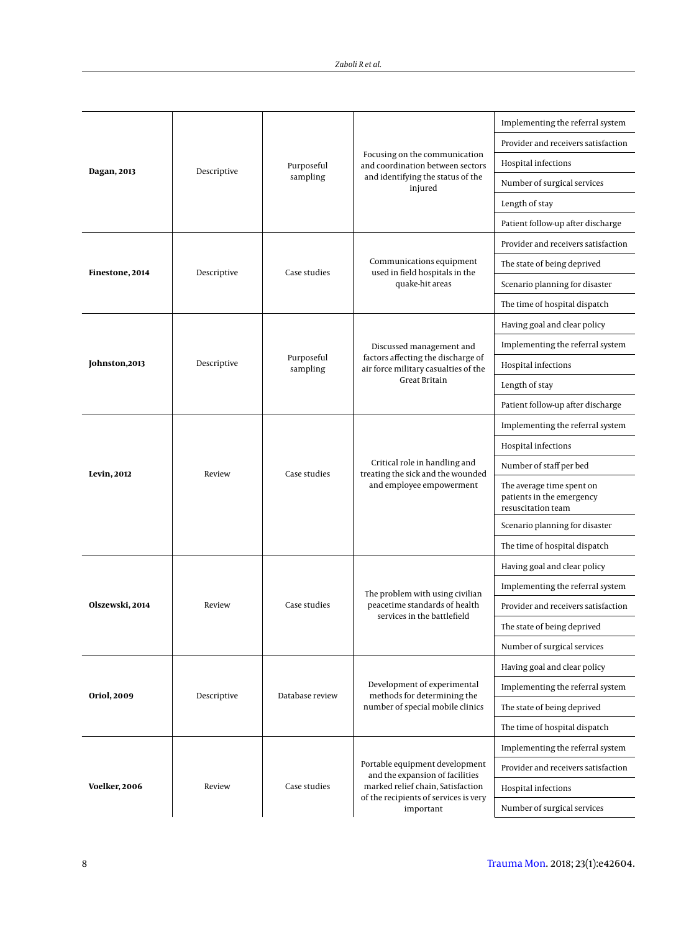| Dagan, 2013        | Descriptive | Purposeful             |                                                                                                | Implementing the referral system                                             |
|--------------------|-------------|------------------------|------------------------------------------------------------------------------------------------|------------------------------------------------------------------------------|
|                    |             |                        |                                                                                                | Provider and receivers satisfaction                                          |
|                    |             |                        | Focusing on the communication<br>and coordination between sectors                              | Hospital infections                                                          |
|                    |             | sampling               | and identifying the status of the<br>injured                                                   | Number of surgical services                                                  |
|                    |             |                        |                                                                                                | Length of stay                                                               |
|                    |             |                        |                                                                                                | Patient follow-up after discharge                                            |
|                    |             | Case studies           |                                                                                                | Provider and receivers satisfaction                                          |
| Finestone, 2014    | Descriptive |                        | Communications equipment<br>used in field hospitals in the                                     | The state of being deprived                                                  |
|                    |             |                        | quake-hit areas                                                                                | Scenario planning for disaster                                               |
|                    |             |                        |                                                                                                | The time of hospital dispatch                                                |
|                    |             | Purposeful<br>sampling |                                                                                                | Having goal and clear policy                                                 |
|                    |             |                        | Discussed management and                                                                       | Implementing the referral system                                             |
| Johnston, 2013     | Descriptive |                        | factors affecting the discharge of<br>air force military casualties of the                     | Hospital infections                                                          |
|                    |             |                        | Great Britain                                                                                  | Length of stay                                                               |
|                    |             |                        |                                                                                                | Patient follow-up after discharge                                            |
|                    | Review      |                        | Critical role in handling and<br>treating the sick and the wounded<br>and employee empowerment | Implementing the referral system                                             |
|                    |             |                        |                                                                                                | Hospital infections                                                          |
| <b>Levin, 2012</b> |             | Case studies           |                                                                                                | Number of staff per bed                                                      |
|                    |             |                        |                                                                                                | The average time spent on<br>patients in the emergency<br>resuscitation team |
|                    |             |                        |                                                                                                | Scenario planning for disaster                                               |
|                    |             |                        |                                                                                                | The time of hospital dispatch                                                |
|                    | Review      | Case studies           |                                                                                                | Having goal and clear policy                                                 |
|                    |             |                        | The problem with using civilian                                                                | Implementing the referral system                                             |
| Olszewski, 2014    |             |                        | peacetime standards of health<br>services in the battlefield                                   | Provider and receivers satisfaction                                          |
|                    |             |                        |                                                                                                | The state of being deprived                                                  |
|                    |             |                        |                                                                                                | Number of surgical services                                                  |
|                    | Descriptive | Database review        |                                                                                                | Having goal and clear policy                                                 |
| Oriol, 2009        |             |                        | Development of experimental<br>methods for determining the                                     | Implementing the referral system                                             |
|                    |             |                        | number of special mobile clinics                                                               | The state of being deprived                                                  |
|                    |             |                        |                                                                                                | The time of hospital dispatch                                                |
|                    |             |                        |                                                                                                | Implementing the referral system                                             |
|                    | Review      | Case studies           | Portable equipment development<br>and the expansion of facilities                              | Provider and receivers satisfaction                                          |
| Voelker, 2006      |             |                        | marked relief chain, Satisfaction<br>of the recipients of services is very                     | Hospital infections                                                          |
|                    |             |                        | important                                                                                      | Number of surgical services                                                  |